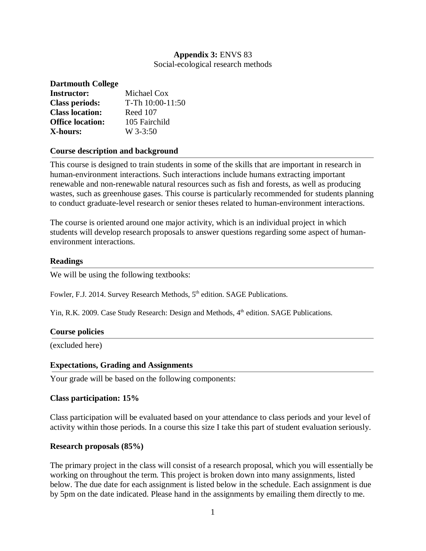# **Appendix 3:** ENVS 83

Social-ecological research methods

| <b>Dartmouth College</b> |                  |
|--------------------------|------------------|
| <b>Instructor:</b>       | Michael Cox      |
| <b>Class periods:</b>    | T-Th 10:00-11:50 |
| <b>Class location:</b>   | Reed 107         |
| <b>Office location:</b>  | 105 Fairchild    |
| X-hours:                 | $W$ 3-3:50       |

#### **Course description and background**

This course is designed to train students in some of the skills that are important in research in human-environment interactions. Such interactions include humans extracting important renewable and non-renewable natural resources such as fish and forests, as well as producing wastes, such as greenhouse gases. This course is particularly recommended for students planning to conduct graduate-level research or senior theses related to human-environment interactions.

The course is oriented around one major activity, which is an individual project in which students will develop research proposals to answer questions regarding some aspect of humanenvironment interactions.

#### **Readings**

We will be using the following textbooks:

Fowler, F.J. 2014. Survey Research Methods, 5<sup>th</sup> edition. SAGE Publications.

Yin, R.K. 2009. Case Study Research: Design and Methods, 4<sup>th</sup> edition. SAGE Publications.

#### **Course policies**

(excluded here)

#### **Expectations, Grading and Assignments**

Your grade will be based on the following components:

#### **Class participation: 15%**

Class participation will be evaluated based on your attendance to class periods and your level of activity within those periods. In a course this size I take this part of student evaluation seriously.

#### **Research proposals (85%)**

The primary project in the class will consist of a research proposal, which you will essentially be working on throughout the term. This project is broken down into many assignments, listed below. The due date for each assignment is listed below in the schedule. Each assignment is due by 5pm on the date indicated. Please hand in the assignments by emailing them directly to me.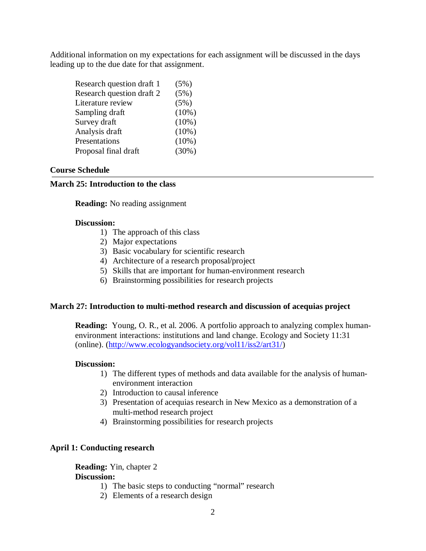Additional information on my expectations for each assignment will be discussed in the days leading up to the due date for that assignment.

| Research question draft 1 | (5%)     |
|---------------------------|----------|
| Research question draft 2 | (5%)     |
| Literature review         | (5%)     |
| Sampling draft            | $(10\%)$ |
| Survey draft              | $(10\%)$ |
| Analysis draft            | $(10\%)$ |
| Presentations             | $(10\%)$ |
| Proposal final draft      | (30%)    |

#### **Course Schedule**

#### **March 25: Introduction to the class**

**Reading:** No reading assignment

#### **Discussion:**

- 1) The approach of this class
- 2) Major expectations
- 3) Basic vocabulary for scientific research
- 4) Architecture of a research proposal/project
- 5) Skills that are important for human-environment research
- 6) Brainstorming possibilities for research projects

#### **March 27: Introduction to multi-method research and discussion of acequias project**

**Reading:** Young, O. R., et al. 2006. A portfolio approach to analyzing complex humanenvironment interactions: institutions and land change. Ecology and Society 11:31 (online). (http://www.ecologyandsociety.org/vol11/iss2/art31/)

#### **Discussion:**

- 1) The different types of methods and data available for the analysis of humanenvironment interaction
- 2) Introduction to causal inference
- 3) Presentation of acequias research in New Mexico as a demonstration of a multi-method research project
- 4) Brainstorming possibilities for research projects

#### **April 1: Conducting research**

**Reading:** Yin, chapter 2

# **Discussion:**

- 1) The basic steps to conducting "normal" research
- 2) Elements of a research design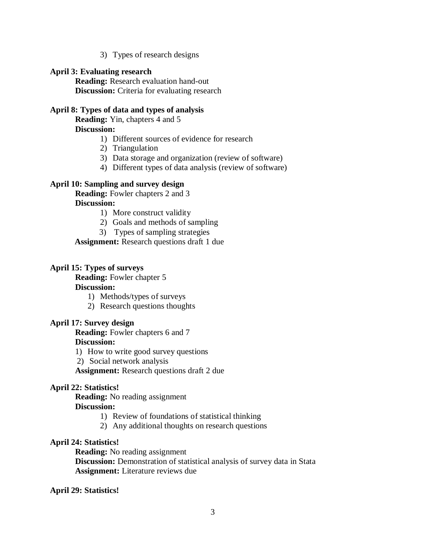3) Types of research designs

#### **April 3: Evaluating research**

**Reading:** Research evaluation hand-out **Discussion:** Criteria for evaluating research

#### **April 8: Types of data and types of analysis**

**Reading:** Yin, chapters 4 and 5

**Discussion:**

- 1) Different sources of evidence for research
- 2) Triangulation
- 3) Data storage and organization (review of software)
- 4) Different types of data analysis (review of software)

#### **April 10: Sampling and survey design**

**Reading:** Fowler chapters 2 and 3 **Discussion:**

- 1) More construct validity
- 2) Goals and methods of sampling
- 3) Types of sampling strategies

**Assignment:** Research questions draft 1 due

#### **April 15: Types of surveys**

**Reading:** Fowler chapter 5

#### **Discussion:**

- 1) Methods/types of surveys
- 2) Research questions thoughts

#### **April 17: Survey design**

**Reading:** Fowler chapters 6 and 7 **Discussion:**

- 1) How to write good survey questions
- 2) Social network analysis

**Assignment:** Research questions draft 2 due

#### **April 22: Statistics!**

**Reading:** No reading assignment

### **Discussion:**

- 1) Review of foundations of statistical thinking
- 2) Any additional thoughts on research questions

#### **April 24: Statistics!**

**Reading:** No reading assignment

**Discussion:** Demonstration of statistical analysis of survey data in Stata **Assignment:** Literature reviews due

#### **April 29: Statistics!**